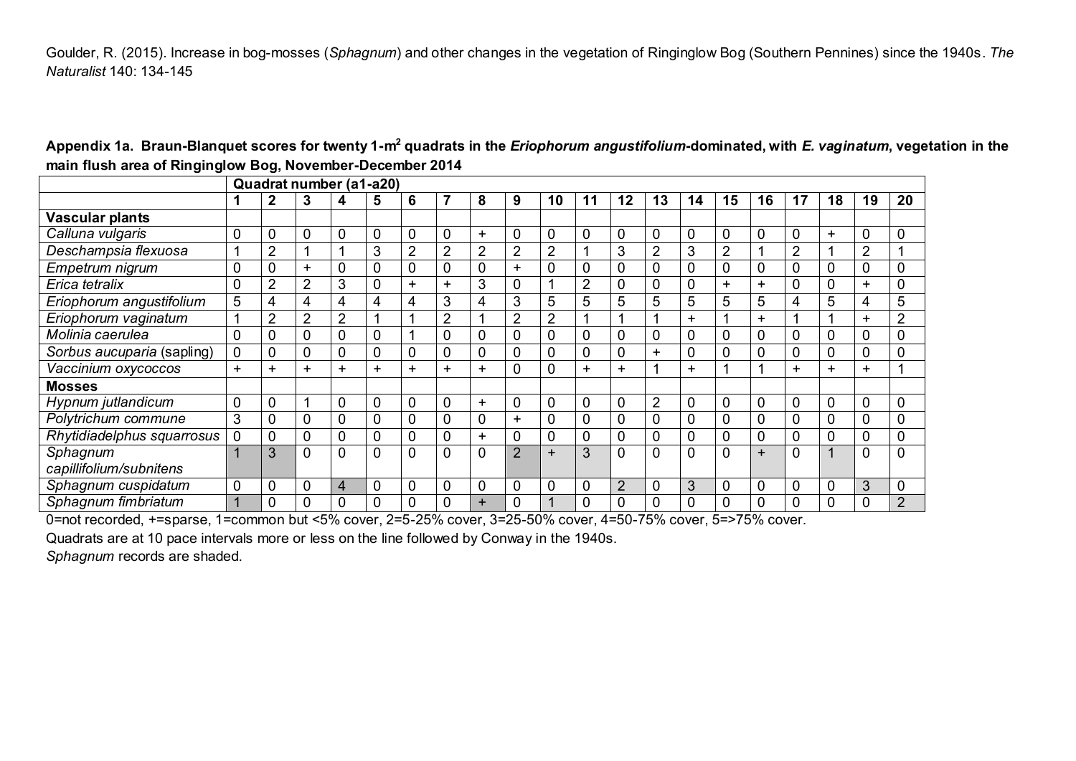Goulder, R. (2015). Increase in bog-mosses (*Sphagnum*) and other changes in the vegetation of Ringinglow Bog (Southern Pennines) since the 1940s. *The Naturalist* 140: 134-145

|                            | Quadrat number (a1-a20) |                |                |                |   |                |                |           |                |                |                |             |                |                |                |                |                |           |                |                |
|----------------------------|-------------------------|----------------|----------------|----------------|---|----------------|----------------|-----------|----------------|----------------|----------------|-------------|----------------|----------------|----------------|----------------|----------------|-----------|----------------|----------------|
|                            |                         | $\mathbf 2$    | 3              | 4              | 5 | 6              |                | 8         | 9              | 10             | 11             | 12          | 13             | 14             | 15             | 16             | 17             | 18        | 19             | 20             |
| <b>Vascular plants</b>     |                         |                |                |                |   |                |                |           |                |                |                |             |                |                |                |                |                |           |                |                |
| Calluna vulgaris           | $\overline{0}$          | $\mathbf 0$    | $\mathbf 0$    | 0              | 0 | 0              | 0              | +         | $\mathbf 0$    | 0              | 0              | 0           | 0              | 0              | 0              | $\mathbf 0$    | 0              | $\ddot{}$ | 0              | 0              |
| Deschampsia flexuosa       |                         | $\overline{2}$ | 1              |                | 3 | $\overline{2}$ | $\overline{2}$ | 2         | $\overline{2}$ | $\overline{2}$ |                | 3           | $\overline{2}$ | 3              | $\overline{2}$ |                | $\overline{2}$ |           | $\overline{2}$ |                |
| Empetrum nigrum            | $\mathbf 0$             | $\overline{0}$ | $\ddot{}$      | 0              | 0 | 0              | 0              | 0         | $\pm$          | 0              | 0              | $\mathbf 0$ | 0              | $\overline{0}$ | 0              | $\mathbf 0$    | 0              | 0         | 0              | 0              |
| Erica tetralix             | $\overline{0}$          | $\overline{2}$ | $\overline{2}$ | 3              | 0 | $\ddot{}$      | $\ddot{}$      | 3         | $\mathbf 0$    |                | $\overline{2}$ | 0           |                | $\Omega$       | $\ddot{}$      | $\pm$          | 0              | 0         | ÷              | 0              |
| Eriophorum angustifolium   | 5                       | 4              | $\overline{4}$ | 4              | 4 | 4              | 3              | 4         | 3              | 5              | 5              | 5           | 5              | 5              | 5              | 5              | 4              | 5         | 4              | 5              |
| Eriophorum vaginatum       | 4                       | $\overline{2}$ | $\overline{2}$ | $\overline{2}$ |   |                | 2              |           | $\overline{2}$ | 2              |                |             |                | $+$            |                | $\pm$          |                |           | ÷              | $\overline{2}$ |
| Molinia caerulea           | $\mathbf 0$             | $\mathbf 0$    | $\mathbf 0$    | 0              | 0 |                | 0              | 0         | $\mathbf 0$    | 0              | 0              | 0           | 0              | $\overline{0}$ | 0              | $\mathbf 0$    | 0              | 0         | 0              | 0              |
| Sorbus aucuparia (sapling) | $\mathbf 0$             | $\mathbf 0$    | $\mathbf 0$    | 0              | 0 | 0              | 0              | 0         | $\mathbf 0$    | 0              | 0              |             | $\pm$          | $\overline{0}$ | 0              | $\mathbf 0$    | 0              | 0         | 0              |                |
| Vaccinium oxycoccos        | ٠.                      | ÷              | $\ddot{}$      | ٠              | ÷ | ÷.             | $\pm$          | ÷.        | $\mathbf 0$    | 0              | $\ddot{}$      | ÷.          |                | $+$            | и              |                | +              |           | ÷.             |                |
| <b>Mosses</b>              |                         |                |                |                |   |                |                |           |                |                |                |             |                |                |                |                |                |           |                |                |
| Hypnum jutlandicum         | $\overline{0}$          | $\overline{0}$ | 1              | 0              | 0 | 0              | 0              | ÷.        | 0              | 0              | 0              | 0           | $\overline{2}$ | $\overline{0}$ | $\overline{0}$ | $\mathbf{0}$   | 0              | 0         | 0              | 0              |
| Polytrichum commune        | 3                       | $\mathbf 0$    | $\mathbf 0$    | 0              | 0 | 0              | 0              | 0         | $\ddot{}$      | 0              | 0              | 0           | 0              | $\Omega$       | 0              | $\mathbf{0}$   | 0              | 0         | 0              | 0              |
| Rhytidiadelphus squarrosus | $\mathbf 0$             | $\overline{0}$ | $\mathbf 0$    | 0              | 0 | 0              | 0              | ÷.        | $\mathbf 0$    | 0              | 0              | 0           | 0              | $\Omega$       | $\Omega$       | $\overline{0}$ | 0              | 0         | 0              | 0              |
| Sphagnum                   | $\overline{\mathbf{A}}$ | 3              | $\mathbf{0}$   | 0              | 0 | 0              | 0              | 0         | $\overline{2}$ | $\ddot{}$      | 3              | 0           | 0              | $\mathbf{0}$   | $\Omega$       | $\ddot{}$      | 0              |           | 0              | 0              |
| capillifolium/subnitens    |                         |                |                |                |   |                |                |           |                |                |                |             |                |                |                |                |                |           |                |                |
| Sphagnum cuspidatum        | $\overline{0}$          | $\overline{0}$ | $\mathbf 0$    | 4              | 0 | 0              | 0              | 0         | $\mathbf 0$    | 0              | 0              | 2           |                | 3              | $\overline{0}$ | $\mathbf 0$    | 0              | 0         | 3              | 0              |
| Sphagnum fimbriatum        | 1                       | $\Omega$       | $\overline{0}$ | ი              | 0 | 0              | 0              | $\ddot{}$ |                |                |                |             |                |                | 0              |                | 0              |           | 0              | $\overline{2}$ |

**Appendix 1a. Braun-Blanquet scores for twenty 1-m<sup>2</sup> quadrats in the** *Eriophorum angustifolium***-dominated, with** *E. vaginatum***, vegetation in the main flush area of Ringinglow Bog, November-December 2014**

0=not recorded, +=sparse, 1=common but <5% cover, 2=5-25% cover, 3=25-50% cover, 4=50-75% cover, 5=>75% cover.

Quadrats are at 10 pace intervals more or less on the line followed by Conway in the 1940s.

*Sphagnum* records are shaded.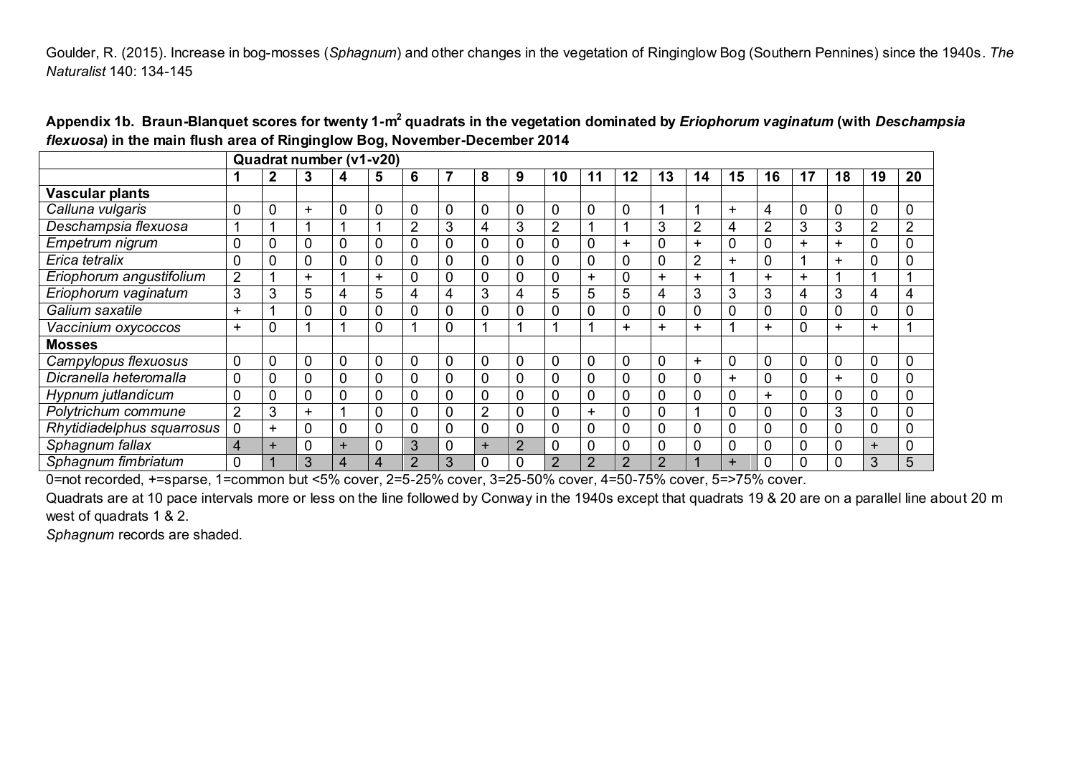Goulder, R. (2015). Increase in bog-mosses (*Sphagnum*) and other changes in the vegetation of Ringinglow Bog (Southern Pennines) since the 1940s. *The Naturalist* 140: 134-145

|                            | Quadrat number (v1-v20) |                |                  |                |                |                |   |                |                |                |                |                |                |                |              |           |     |              |                |               |
|----------------------------|-------------------------|----------------|------------------|----------------|----------------|----------------|---|----------------|----------------|----------------|----------------|----------------|----------------|----------------|--------------|-----------|-----|--------------|----------------|---------------|
|                            |                         | 2              | 3                | 4              | 5              | 6              |   | 8              | 9              | 10             | 11             | 12             | 13             | 14             | 15           | 16        | 17  | 18           | 19             | 20            |
| <b>Vascular plants</b>     |                         |                |                  |                |                |                |   |                |                |                |                |                |                |                |              |           |     |              |                |               |
| Calluna vulgaris           | 0                       | $\overline{0}$ | $\ddot{}$        | 0              | $\mathbf 0$    | 0              | 0 | 0              | 0              | 0              | $\mathbf 0$    | 0              |                |                | $\ddot{}$    | 4         |     | $\Omega$     | 0              | 0             |
| Deschampsia flexuosa       | 1                       |                |                  |                |                | $\overline{2}$ | 3 | 4              | 3              | $\overline{2}$ |                |                | 3              | $\overline{2}$ | 4            | 2         | 3   | 3            | $\overline{2}$ | $\mathcal{D}$ |
| Empetrum nigrum            | 0                       | 0              | $\boldsymbol{0}$ | 0              | 0              | 0              | 0 | 0              | 0              | 0              | 0              | +              | 0              | $\ddot{}$      | 0            |           | $+$ | $+$          | 0              |               |
| Erica tetralix             | 0                       | 0              | $\mathbf 0$      | 0              | $\mathbf 0$    | 0              | 0 | 0              | 0              | 0              | $\mathbf 0$    | $\mathbf 0$    | 0              | $\overline{2}$ | $\ddot{}$    |           |     | $+$          | 0              |               |
| Eriophorum angustifolium   | $\overline{2}$          |                | $+$              |                | ÷              | 0              | 0 | 0              | 0              | 0              | $\pm$          |                | $\ddot{}$      | ÷              |              | $\pm$     | ÷.  |              |                |               |
| Eriophorum vaginatum       | 3                       | 3              | 5                | 4              | 5              | 4              | 4 | 3              | 4              | 5              | 5              | 5              | 4              | 3              | 3            | 3         | 4   | 3            | 4              | 4             |
| Galium saxatile            | $\ddot{}$               |                | 0                | 0              | 0              | 0              | 0 | 0              | 0              | 0              | 0              | 0              | 0              | 0              |              |           |     |              | 0              |               |
| Vaccinium oxycoccos        | $\ddot{}$               | $\mathbf 0$    |                  |                | 0              |                | 0 |                |                |                |                | ÷.             | ÷              | ÷              |              | $\ddot{}$ |     | $+$          | $\ddot{}$      |               |
| <b>Mosses</b>              |                         |                |                  |                |                |                |   |                |                |                |                |                |                |                |              |           |     |              |                |               |
| Campylopus flexuosus       | $\pmb{0}$               | $\mathbf 0$    | $\boldsymbol{0}$ | $\mathbf 0$    | $\overline{0}$ | 0              | 0 | 0              | 0              | $\mathbf 0$    | $\mathbf 0$    | 0              | 0              | $\ddot{}$      | 0            |           |     | $\mathbf{0}$ | $\mathbf 0$    | 0             |
| Dicranella heteromalla     | $\Omega$                | $\overline{0}$ | $\mathbf 0$      | $\mathbf 0$    | $\mathbf 0$    | 0              | 0 | 0              | 0              | $\Omega$       | $\mathbf 0$    | $\overline{0}$ | 0              | 0              | +            |           |     | $+$          | 0              |               |
| Hypnum jutlandicum         | 0                       | $\overline{0}$ | $\overline{0}$   | $\mathbf 0$    | $\mathbf 0$    | 0              | 0 | 0              | 0              | $\Omega$       | $\mathbf 0$    | 0              | 0              | 0              |              | $\pm$     |     |              | 0              |               |
| Polytrichum commune        | $\overline{2}$          | 3              | $+$              | и              | 0              | 0              | 0 | $\overline{2}$ | 0              | $\Omega$       | $\ddot{}$      | $\overline{0}$ | 0              |                | $\mathbf{0}$ |           |     | 3            | 0              |               |
| Rhytidiadelphus squarrosus | 0                       | +              | $\mathbf 0$      | 0              | 0              | 0              | 0 | 0              | 0              | $\mathbf{0}$   | 0              | 0              | 0              | 0              | 0            |           |     | $\Omega$     | 0              |               |
| Sphagnum fallax            | 4                       | $\ddot{}$      | $\mathbf 0$      | $\ddot{}$      | $\mathbf 0$    | 3              | 0 | $\ddot{}$      | $\overline{2}$ | $\mathbf 0$    | 0              | 0              | 0              | 0              | $\mathbf 0$  |           |     |              | $+$            |               |
| Sphagnum fimbriatum        | 0                       |                | 3                | $\overline{4}$ | 4              | C              | 3 |                | ი              | $\overline{2}$ | $\overline{2}$ | $\overline{2}$ | $\overline{2}$ |                | ÷            |           |     |              | 3              | 5             |

**Appendix 1b. Braun-Blanquet scores for twenty 1-m<sup>2</sup> quadrats in the vegetation dominated by** *Eriophorum vaginatum* **(with** *Deschampsia flexuosa***) in the main flush area of Ringinglow Bog, November-December 2014**

0=not recorded, +=sparse, 1=common but <5% cover, 2=5-25% cover, 3=25-50% cover, 4=50-75% cover, 5=>75% cover.

Quadrats are at 10 pace intervals more or less on the line followed by Conway in the 1940s except that quadrats 19 & 20 are on a parallel line about 20 m west of quadrats 1 & 2.

*Sphagnum* records are shaded.